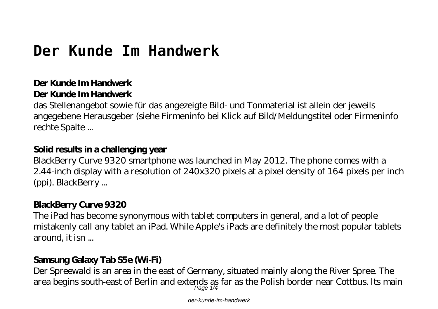# **Der Kunde Im Handwerk**

### **Der Kunde Im Handwerk Der Kunde Im Handwerk**

das Stellenangebot sowie für das angezeigte Bild- und Tonmaterial ist allein der jeweils angegebene Herausgeber (siehe Firmeninfo bei Klick auf Bild/Meldungstitel oder Firmeninfo rechte Spalte ...

### **Solid results in a challenging year**

BlackBerry Curve 9320 smartphone was launched in May 2012. The phone comes with a 2.44-inch display with a resolution of 240x320 pixels at a pixel density of 164 pixels per inch (ppi). BlackBerry ...

# **BlackBerry Curve 9320**

The iPad has become synonymous with tablet computers in general, and a lot of people mistakenly call any tablet an iPad. While Apple's iPads are definitely the most popular tablets around, it isn ...

### **Samsung Galaxy Tab S5e (Wi-Fi)**

Der Spreewald is an area in the east of Germany, situated mainly along the River Spree. The area begins south-east of Berlin and extends as far as the Polish border near Cottbus. Its main

der-kunde-im-handwerk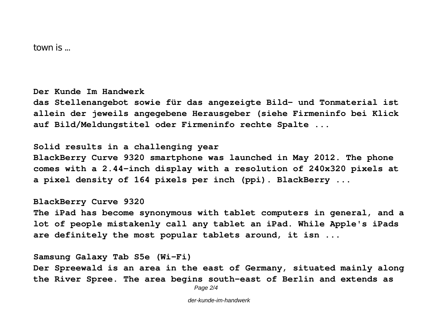town is ...

**Der Kunde Im Handwerk**

**das Stellenangebot sowie für das angezeigte Bild- und Tonmaterial ist allein der jeweils angegebene Herausgeber (siehe Firmeninfo bei Klick auf Bild/Meldungstitel oder Firmeninfo rechte Spalte ...**

**Solid results in a challenging year**

**BlackBerry Curve 9320 smartphone was launched in May 2012. The phone comes with a 2.44-inch display with a resolution of 240x320 pixels at a pixel density of 164 pixels per inch (ppi). BlackBerry ...**

**BlackBerry Curve 9320**

**The iPad has become synonymous with tablet computers in general, and a lot of people mistakenly call any tablet an iPad. While Apple's iPads are definitely the most popular tablets around, it isn ...**

**Samsung Galaxy Tab S5e (Wi-Fi) Der Spreewald is an area in the east of Germany, situated mainly along the River Spree. The area begins south-east of Berlin and extends as**

Page 2/4

der-kunde-im-handwerk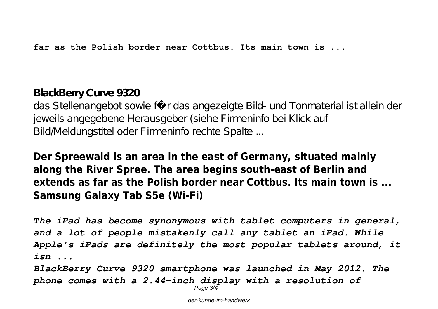**far as the Polish border near Cottbus. Its main town is ...**

## **BlackBerry Curve 9320**

das Stellenangebot sowie für das angezeigte Bild- und Tonmaterial ist allein der jeweils angegebene Herausgeber (siehe Firmeninfo bei Klick auf Bild/Meldungstitel oder Firmeninfo rechte Spalte ...

# **Der Spreewald is an area in the east of Germany, situated mainly along the River Spree. The area begins south-east of Berlin and extends as far as the Polish border near Cottbus. Its main town is ... Samsung Galaxy Tab S5e (Wi-Fi)**

*The iPad has become synonymous with tablet computers in general, and a lot of people mistakenly call any tablet an iPad. While Apple's iPads are definitely the most popular tablets around, it isn ...*

*BlackBerry Curve 9320 smartphone was launched in May 2012. The phone comes with a 2.44-inch display with a resolution of* Page 3/4

der-kunde-im-handwerk